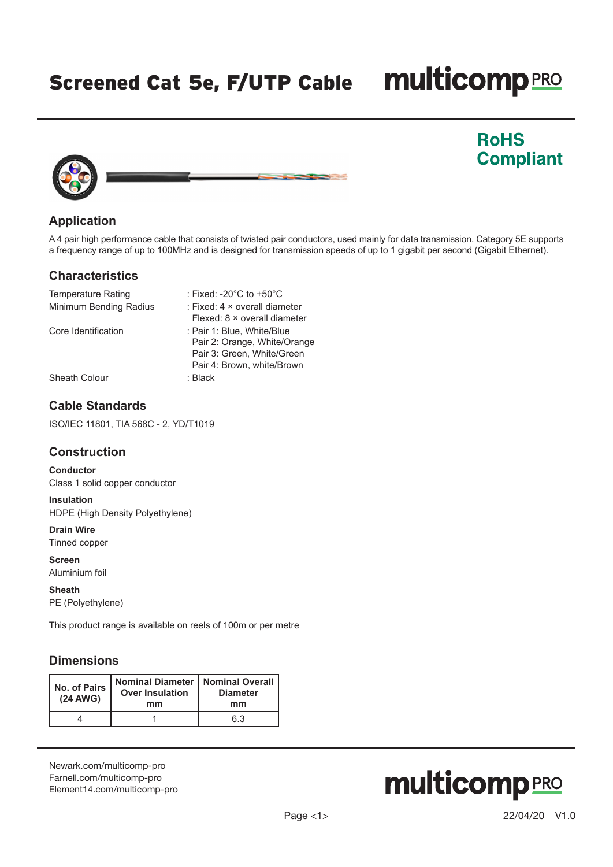Screened Cat 5e, F/UTP Cable

# **multicomp**PRO

**RoHS** 

**Compliant** 



# **Application**

A 4 pair high performance cable that consists of twisted pair conductors, used mainly for data transmission. Category 5E supports a frequency range of up to 100MHz and is designed for transmission speeds of up to 1 gigabit per second (Gigabit Ethernet).

#### **Characteristics**

| <b>Temperature Rating</b> | : Fixed: -20 $^{\circ}$ C to +50 $^{\circ}$ C                                            |
|---------------------------|------------------------------------------------------------------------------------------|
| Minimum Bending Radius    | : Fixed: $4 \times$ overall diameter<br>Flexed: 8 × overall diameter                     |
| Core Identification       | : Pair 1: Blue, White/Blue<br>Pair 2: Orange, White/Orange<br>Pair 3: Green, White/Green |
|                           | Pair 4: Brown, white/Brown                                                               |
| Sheath Colour             | : Black                                                                                  |

# **Cable Standards**

ISO/IEC 11801, TIA 568C - 2, YD/T1019

#### **Construction**

**Conductor** Class 1 solid copper conductor

**Insulation** HDPE (High Density Polyethylene)

**Drain Wire** Tinned copper

**Screen** Aluminium foil

**Sheath** PE (Polyethylene)

This product range is available on reels of 100m or per metre

# **Dimensions**

| No. of Pairs<br>(24 AWG) | Nominal Diameter   Nominal Overall<br><b>Over Insulation</b><br>mm | <b>Diameter</b><br>mm |  |
|--------------------------|--------------------------------------------------------------------|-----------------------|--|
|                          |                                                                    | 6.3                   |  |

[Newark.com/multicomp-](https://www.newark.com/multicomp-pro)pro [Farnell.com/multicomp](https://www.farnell.com/multicomp-pro)-pro [Element14.com/multicomp-pro](https://element14.com/multicomp-pro)